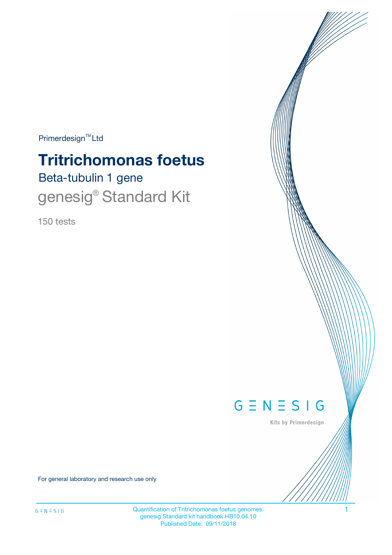$Primerdesign^{TM}$ Ltd

# Beta-tubulin 1 gene **Tritrichomonas foetus** genesig<sup>®</sup> Standard Kit

150 tests



Kits by Primerdesign

For general laboratory and research use only

Quantification of Tritrichomonas foetus genomes. 1 genesig Standard kit handbook HB10.04.10 Published Date: 09/11/2018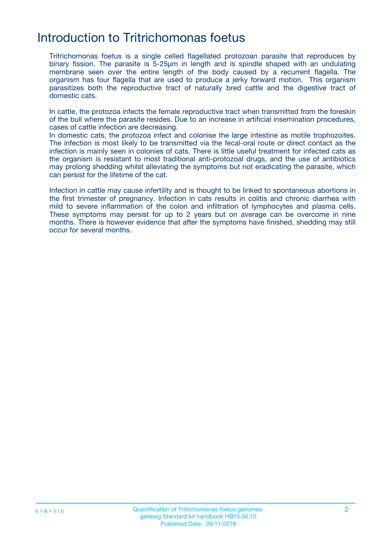## Introduction to Tritrichomonas foetus

Tritrichomonas foetus is a single celled flagellated protozoan parasite that reproduces by binary fission. The parasite is 5-25µm in length and is spindle shaped with an undulating membrane seen over the entire length of the body caused by a recurrent flagella. The organism has four flagella that are used to produce a jerky forward motion. This organism parasitizes both the reproductive tract of naturally bred cattle and the digestive tract of domestic cats.

In cattle, the protozoa infects the female reproductive tract when transmitted from the foreskin of the bull where the parasite resides. Due to an increase in artificial insemination procedures, cases of cattle infection are decreasing.

In domestic cats, the protozoa infect and colonise the large intestine as motile trophozoites. The infection is most likely to be transmitted via the fecal-oral route or direct contact as the infection is mainly seen in colonies of cats. There is little useful treatment for infected cats as the organism is resistant to most traditional anti-protozoal drugs, and the use of antibiotics may prolong shedding whilst alleviating the symptoms but not eradicating the parasite, which can persist for the lifetime of the cat.

Infection in cattle may cause infertility and is thought to be linked to spontaneous abortions in the first trimester of pregnancy. Infection in cats results in colitis and chronic diarrhea with mild to severe inflammation of the colon and infiltration of lymphocytes and plasma cells. These symptoms may persist for up to 2 years but on average can be overcome in nine months. There is however evidence that after the symptoms have finished, shedding may still occur for several months.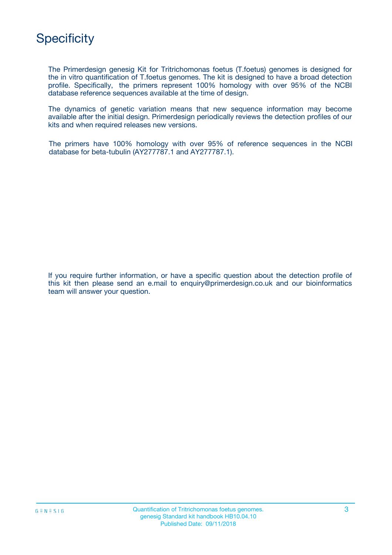

The Primerdesign genesig Kit for Tritrichomonas foetus (T.foetus) genomes is designed for the in vitro quantification of T.foetus genomes. The kit is designed to have a broad detection profile. Specifically, the primers represent 100% homology with over 95% of the NCBI database reference sequences available at the time of design.

The dynamics of genetic variation means that new sequence information may become available after the initial design. Primerdesign periodically reviews the detection profiles of our kits and when required releases new versions.

The primers have 100% homology with over 95% of reference sequences in the NCBI database for beta-tubulin (AY277787.1 and AY277787.1).

If you require further information, or have a specific question about the detection profile of this kit then please send an e.mail to enquiry@primerdesign.co.uk and our bioinformatics team will answer your question.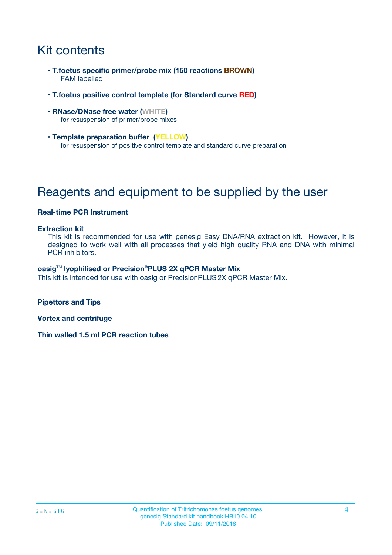# Kit contents

- **T.foetus specific primer/probe mix (150 reactions BROWN)** FAM labelled
- **T.foetus positive control template (for Standard curve RED)**
- **RNase/DNase free water (WHITE)** for resuspension of primer/probe mixes
- **Template preparation buffer (YELLOW)** for resuspension of positive control template and standard curve preparation

# Reagents and equipment to be supplied by the user

### **Real-time PCR Instrument**

#### **Extraction kit**

This kit is recommended for use with genesig Easy DNA/RNA extraction kit. However, it is designed to work well with all processes that yield high quality RNA and DNA with minimal PCR inhibitors.

#### **oasig**TM **lyophilised or Precision**®**PLUS 2X qPCR Master Mix**

This kit is intended for use with oasig or PrecisionPLUS2X qPCR Master Mix.

**Pipettors and Tips**

**Vortex and centrifuge**

**Thin walled 1.5 ml PCR reaction tubes**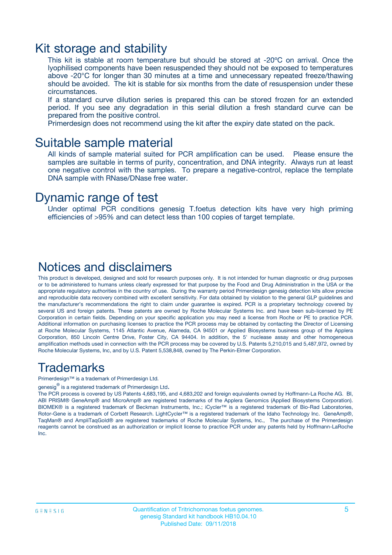### Kit storage and stability

This kit is stable at room temperature but should be stored at -20ºC on arrival. Once the lyophilised components have been resuspended they should not be exposed to temperatures above -20°C for longer than 30 minutes at a time and unnecessary repeated freeze/thawing should be avoided. The kit is stable for six months from the date of resuspension under these circumstances.

If a standard curve dilution series is prepared this can be stored frozen for an extended period. If you see any degradation in this serial dilution a fresh standard curve can be prepared from the positive control.

Primerdesign does not recommend using the kit after the expiry date stated on the pack.

### Suitable sample material

All kinds of sample material suited for PCR amplification can be used. Please ensure the samples are suitable in terms of purity, concentration, and DNA integrity. Always run at least one negative control with the samples. To prepare a negative-control, replace the template DNA sample with RNase/DNase free water.

### Dynamic range of test

Under optimal PCR conditions genesig T.foetus detection kits have very high priming efficiencies of >95% and can detect less than 100 copies of target template.

### Notices and disclaimers

This product is developed, designed and sold for research purposes only. It is not intended for human diagnostic or drug purposes or to be administered to humans unless clearly expressed for that purpose by the Food and Drug Administration in the USA or the appropriate regulatory authorities in the country of use. During the warranty period Primerdesign genesig detection kits allow precise and reproducible data recovery combined with excellent sensitivity. For data obtained by violation to the general GLP guidelines and the manufacturer's recommendations the right to claim under guarantee is expired. PCR is a proprietary technology covered by several US and foreign patents. These patents are owned by Roche Molecular Systems Inc. and have been sub-licensed by PE Corporation in certain fields. Depending on your specific application you may need a license from Roche or PE to practice PCR. Additional information on purchasing licenses to practice the PCR process may be obtained by contacting the Director of Licensing at Roche Molecular Systems, 1145 Atlantic Avenue, Alameda, CA 94501 or Applied Biosystems business group of the Applera Corporation, 850 Lincoln Centre Drive, Foster City, CA 94404. In addition, the 5' nuclease assay and other homogeneous amplification methods used in connection with the PCR process may be covered by U.S. Patents 5,210,015 and 5,487,972, owned by Roche Molecular Systems, Inc, and by U.S. Patent 5,538,848, owned by The Perkin-Elmer Corporation.

### Trademarks

Primerdesign™ is a trademark of Primerdesign Ltd.

genesig $^\circledR$  is a registered trademark of Primerdesign Ltd.

The PCR process is covered by US Patents 4,683,195, and 4,683,202 and foreign equivalents owned by Hoffmann-La Roche AG. BI, ABI PRISM® GeneAmp® and MicroAmp® are registered trademarks of the Applera Genomics (Applied Biosystems Corporation). BIOMEK® is a registered trademark of Beckman Instruments, Inc.; iCycler™ is a registered trademark of Bio-Rad Laboratories, Rotor-Gene is a trademark of Corbett Research. LightCycler™ is a registered trademark of the Idaho Technology Inc. GeneAmp®, TaqMan® and AmpliTaqGold® are registered trademarks of Roche Molecular Systems, Inc., The purchase of the Primerdesign reagents cannot be construed as an authorization or implicit license to practice PCR under any patents held by Hoffmann-LaRoche Inc.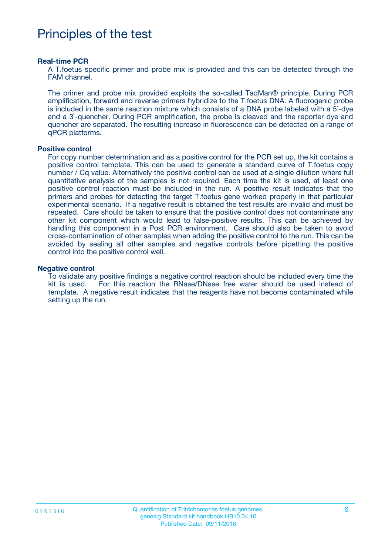# Principles of the test

#### **Real-time PCR**

A T.foetus specific primer and probe mix is provided and this can be detected through the FAM channel.

The primer and probe mix provided exploits the so-called TaqMan® principle. During PCR amplification, forward and reverse primers hybridize to the T.foetus DNA. A fluorogenic probe is included in the same reaction mixture which consists of a DNA probe labeled with a 5`-dye and a 3`-quencher. During PCR amplification, the probe is cleaved and the reporter dye and quencher are separated. The resulting increase in fluorescence can be detected on a range of qPCR platforms.

#### **Positive control**

For copy number determination and as a positive control for the PCR set up, the kit contains a positive control template. This can be used to generate a standard curve of T.foetus copy number / Cq value. Alternatively the positive control can be used at a single dilution where full quantitative analysis of the samples is not required. Each time the kit is used, at least one positive control reaction must be included in the run. A positive result indicates that the primers and probes for detecting the target T.foetus gene worked properly in that particular experimental scenario. If a negative result is obtained the test results are invalid and must be repeated. Care should be taken to ensure that the positive control does not contaminate any other kit component which would lead to false-positive results. This can be achieved by handling this component in a Post PCR environment. Care should also be taken to avoid cross-contamination of other samples when adding the positive control to the run. This can be avoided by sealing all other samples and negative controls before pipetting the positive control into the positive control well.

#### **Negative control**

To validate any positive findings a negative control reaction should be included every time the kit is used. For this reaction the RNase/DNase free water should be used instead of template. A negative result indicates that the reagents have not become contaminated while setting up the run.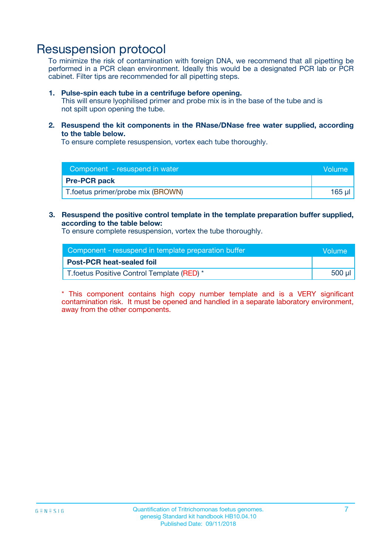# Resuspension protocol

To minimize the risk of contamination with foreign DNA, we recommend that all pipetting be performed in a PCR clean environment. Ideally this would be a designated PCR lab or PCR cabinet. Filter tips are recommended for all pipetting steps.

#### **1. Pulse-spin each tube in a centrifuge before opening.**

This will ensure lyophilised primer and probe mix is in the base of the tube and is not spilt upon opening the tube.

**2. Resuspend the kit components in the RNase/DNase free water supplied, according to the table below.**

To ensure complete resuspension, vortex each tube thoroughly.

| Component - resuspend in water<br>Volume |        |
|------------------------------------------|--------|
| <b>Pre-PCR pack</b>                      |        |
| T.foetus primer/probe mix (BROWN)        | 165 µl |

### **3. Resuspend the positive control template in the template preparation buffer supplied, according to the table below:**

To ensure complete resuspension, vortex the tube thoroughly.

| Component - resuspend in template preparation buffer |        |  |
|------------------------------------------------------|--------|--|
| <b>Post-PCR heat-sealed foil</b>                     |        |  |
| T. foetus Positive Control Template (RED) *          | 500 µl |  |

\* This component contains high copy number template and is a VERY significant contamination risk. It must be opened and handled in a separate laboratory environment, away from the other components.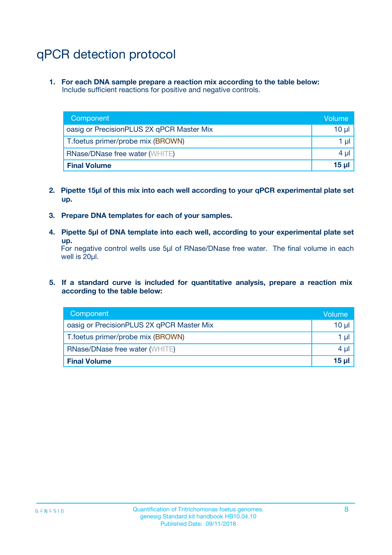# qPCR detection protocol

**1. For each DNA sample prepare a reaction mix according to the table below:** Include sufficient reactions for positive and negative controls.

| Component                                 | Volume   |
|-------------------------------------------|----------|
| oasig or PrecisionPLUS 2X qPCR Master Mix | $10 \mu$ |
| T.foetus primer/probe mix (BROWN)         | $1 \mu$  |
| <b>RNase/DNase free water (WHITE)</b>     | $4 \mu$  |
| <b>Final Volume</b>                       | 15 ul    |

- **2. Pipette 15µl of this mix into each well according to your qPCR experimental plate set up.**
- **3. Prepare DNA templates for each of your samples.**
- **4. Pipette 5µl of DNA template into each well, according to your experimental plate set up.**

For negative control wells use 5µl of RNase/DNase free water. The final volume in each well is 20µl.

**5. If a standard curve is included for quantitative analysis, prepare a reaction mix according to the table below:**

| Component                                 | Volume          |
|-------------------------------------------|-----------------|
| oasig or PrecisionPLUS 2X qPCR Master Mix | 10 µl           |
| T.foetus primer/probe mix (BROWN)         | 1 µI            |
| <b>RNase/DNase free water (WHITE)</b>     | $4 \mu$         |
| <b>Final Volume</b>                       | 15 <sub>µ</sub> |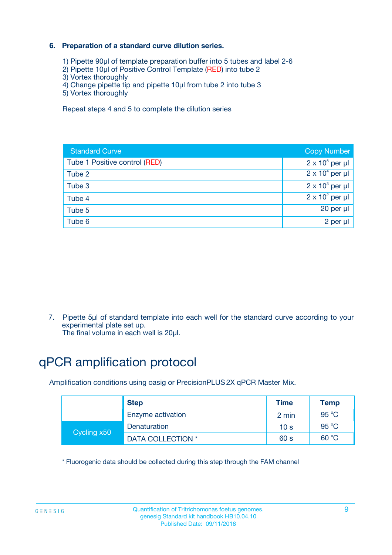### **6. Preparation of a standard curve dilution series.**

- 1) Pipette 90µl of template preparation buffer into 5 tubes and label 2-6
- 2) Pipette 10µl of Positive Control Template (RED) into tube 2
- 3) Vortex thoroughly
- 4) Change pipette tip and pipette 10µl from tube 2 into tube 3
- 5) Vortex thoroughly

Repeat steps 4 and 5 to complete the dilution series

| <b>Standard Curve</b>         | <b>Copy Number</b>     |
|-------------------------------|------------------------|
| Tube 1 Positive control (RED) | $2 \times 10^5$ per µl |
| Tube 2                        | $2 \times 10^4$ per µl |
| Tube 3                        | $2 \times 10^3$ per µl |
| Tube 4                        | $2 \times 10^2$ per µl |
| Tube 5                        | 20 per µl              |
| Tube 6                        | 2 per ul               |

7. Pipette 5µl of standard template into each well for the standard curve according to your experimental plate set up.

The final volume in each well is 20µl.

# qPCR amplification protocol

Amplification conditions using oasig or PrecisionPLUS2X qPCR Master Mix.

|             | <b>Step</b>       | <b>Time</b>     | Temp           |
|-------------|-------------------|-----------------|----------------|
|             | Enzyme activation | 2 min           | $95^{\circ}$ C |
| Cycling x50 | Denaturation      | 10 <sub>s</sub> | 95 $°C$        |
|             | DATA COLLECTION * | 60 s            | 60 °C          |

\* Fluorogenic data should be collected during this step through the FAM channel